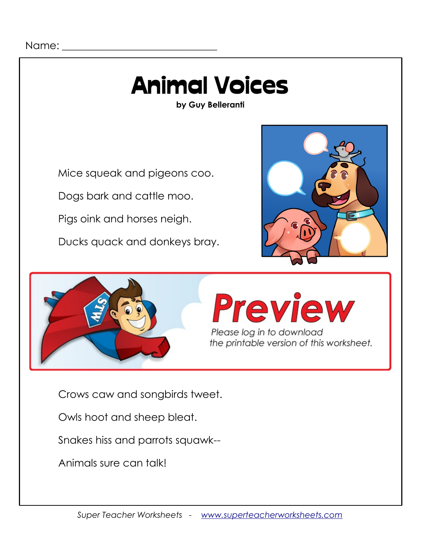## Animal Voices

**by Guy Belleranti**

Mice squeak and pigeons coo.

Dogs bark and cattle moo.

Pigs oink and horses neigh.

Ducks quack and donkeys bray.







Crows caw and songbirds tweet.

Owls hoot and sheep bleat.

Snakes hiss and parrots squawk--

Animals sure can talk!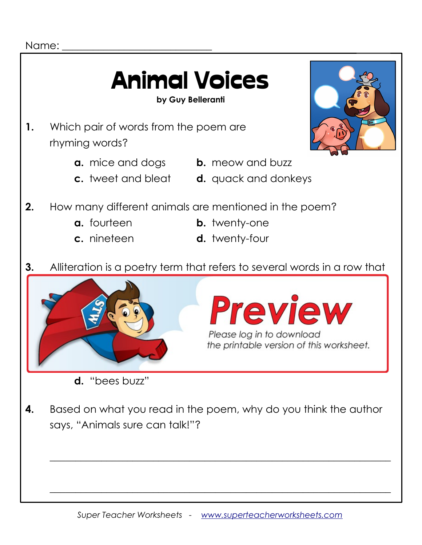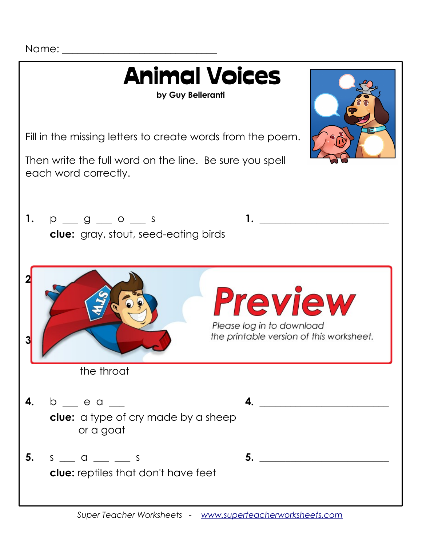Name: \_\_\_\_\_\_\_\_\_\_\_\_\_\_\_\_\_\_\_\_\_\_\_\_\_\_\_\_\_\_

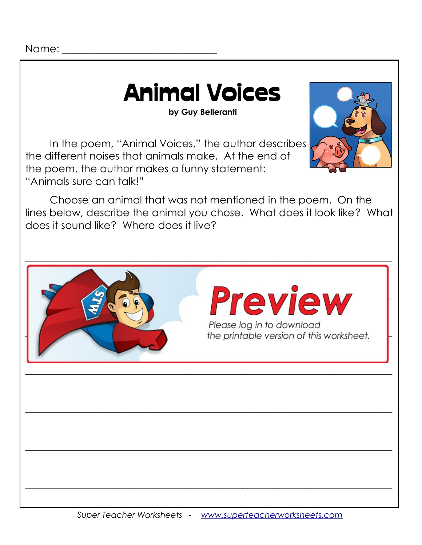Name:

### Animal Voices

**by Guy Belleranti**

In the poem, "Animal Voices," the author describes the different noises that animals make. At the end of the poem, the author makes a funny statement: "Animals sure can talk!"



Choose an animal that was not mentioned in the poem. On the lines below, describe the animal you chose. What does it look like? What does it sound like? Where does it live?

 $\_$  , and the contribution of the contribution of  $\mathcal{L}$  , and  $\mathcal{L}$  , and  $\mathcal{L}$  , and  $\mathcal{L}$  , and  $\mathcal{L}$ 



**Preview** Please log in to download<br>the printable version of this worksheet.

 $\_$  , and the contribution of the contribution of  $\mathcal{L}$  , and  $\mathcal{L}$  , and  $\mathcal{L}$  , and  $\mathcal{L}$  , and  $\mathcal{L}$ 

 $\_$  , and the contribution of the contribution of  $\mathcal{L}$  , and  $\mathcal{L}$  , and  $\mathcal{L}$  , and  $\mathcal{L}$  , and  $\mathcal{L}$ 

 $\_$  , and the contribution of the contribution of  $\mathcal{L}$  , and  $\mathcal{L}$  , and  $\mathcal{L}$  , and  $\mathcal{L}$  , and  $\mathcal{L}$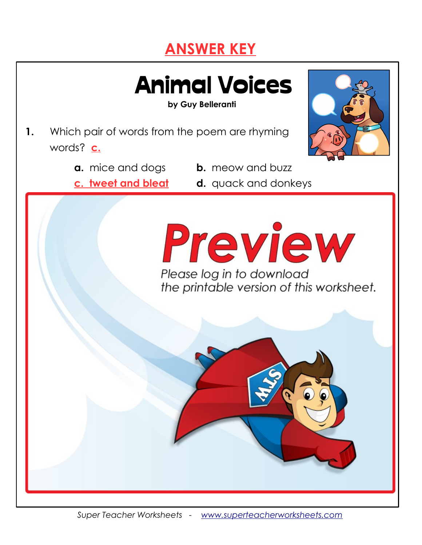#### **ANSWER KEY**